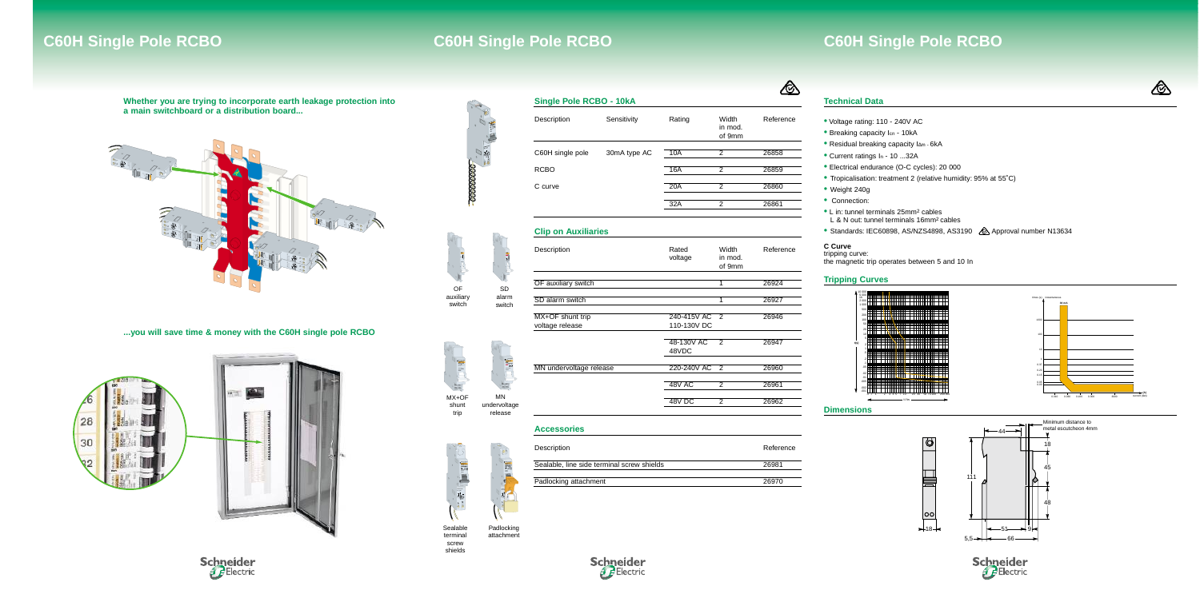## **Single Pole RCBO - 10kA**

| Description      | Sensitivity  | Rating | Width<br>in mod.<br>of 9mm | Reference |
|------------------|--------------|--------|----------------------------|-----------|
|                  |              |        |                            |           |
| C60H single pole | 30mA type AC | 10A    | $\overline{2}$             | 26858     |
|                  |              |        |                            |           |
| <b>RCBO</b>      |              | 16A    | 2                          | 26859     |
|                  |              |        |                            |           |
| C curve          |              | 20A    | 2                          | 26860     |
|                  |              |        |                            |           |
|                  |              | 32A    | $\mathcal{P}$              | 26861     |

### **Clip on Auxiliaries**

| OF auxiliary switch |
|---------------------|
| SD alarm switch     |

voltage release

- Voltage rating: 110 240V AC
- Breaking capacity Icn 10kA
- Residual breaking capacity I∆m 6kA
- Current ratings In 10 ...32A
- Electrical endurance (O-C cycles): 20 000
- Tropicalisation: treatment 2 (relative humidity: 95% at 55˚C)
- Weight 240g
- Connection:
- L in: tunnel terminals 25mm2 cables
- L & N out: tunnel terminals 16mm<sup>2</sup> cables
- Standards: IEC60898, AS/NZS4898, AS3190 & Approval number N13634

## Description **Rated** Width Reference voltage in mod. of 9mm OF auxiliary switch and the state of the 1 26924 SD alarm switch 1 26927 MX+OF shunt trip 240-415V AC 2 26946<br>voltage release 110-130V DC 48-130V AC 2 26947 48VDC MN undervoltage release 220-240V AC 2 26960 48V AC 2 26961 48V DC 2 26962



### **Technical Data**



the magnetic trip operates between 5 and 10 In

### **Tripping Curves**

### **Dimensions**

# C60H Single Pole RCBO **C60H Single Pole RCBO** C60H Single Pole RCBO C60H Single Pole RCBO

**Whether you are trying to incorporate earth leakage protection into a main switchboard or a distribution board...**

> **multi 9<br>C60H RCBO**<br>C65 **R100**<br>1000 **C65**<br>34070 O - OFF



...you will save time & money with the C60H single pole RCBO







undervoltage release









**OF**

**SD**



 $\bigotimes$ 











MERLIN GERIN **multi 9 C60H RCBO C45 R100** 10000 I∆n **100mA** 240Va 26870 O - OFF 3

**L N** BSEN 61009 IEC 1009 **L** OUT OUT IN **L**



**L N** BSEN 61009

OF auxiliary switch



shunt trip



Sealable terminal screw shields

Padlocking attachment

SD alarm switch